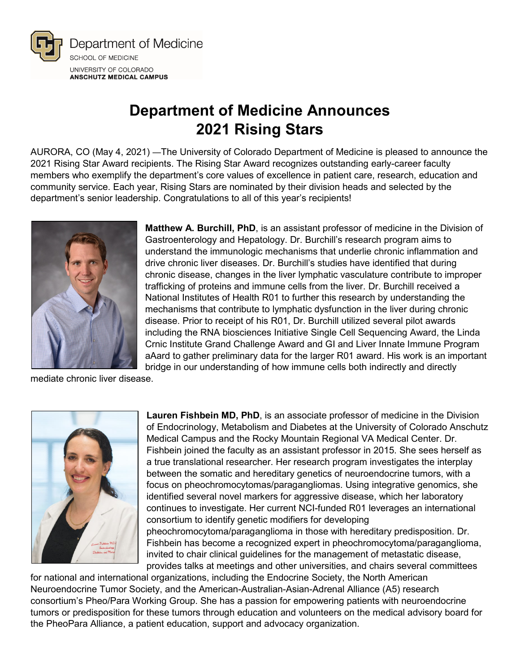

## **Department of Medicine Announces 2021 Rising Stars**

AURORA, CO (May 4, 2021) —The University of Colorado Department of Medicine is pleased to announce the 2021 Rising Star Award recipients. The Rising Star Award recognizes outstanding early-career faculty members who exemplify the department's core values of excellence in patient care, research, education and community service. Each year, Rising Stars are nominated by their division heads and selected by the department's senior leadership. Congratulations to all of this year's recipients!



**Matthew A. Burchill, PhD**, is an assistant professor of medicine in the Division of Gastroenterology and Hepatology. Dr. Burchill's research program aims to understand the immunologic mechanisms that underlie chronic inflammation and drive chronic liver diseases. Dr. Burchill's studies have identified that during chronic disease, changes in the liver lymphatic vasculature contribute to improper trafficking of proteins and immune cells from the liver. Dr. Burchill received a National Institutes of Health R01 to further this research by understanding the mechanisms that contribute to lymphatic dysfunction in the liver during chronic disease. Prior to receipt of his R01, Dr. Burchill utilized several pilot awards including the RNA biosciences Initiative Single Cell Sequencing Award, the Linda Crnic Institute Grand Challenge Award and GI and Liver Innate Immune Program aAard to gather preliminary data for the larger R01 award. His work is an important bridge in our understanding of how immune cells both indirectly and directly

mediate chronic liver disease.



**Lauren Fishbein MD, PhD**, is an associate professor of medicine in the Division of Endocrinology, Metabolism and Diabetes at the University of Colorado Anschutz Medical Campus and the Rocky Mountain Regional VA Medical Center. Dr. Fishbein joined the faculty as an assistant professor in 2015. She sees herself as a true translational researcher. Her research program investigates the interplay between the somatic and hereditary genetics of neuroendocrine tumors, with a focus on pheochromocytomas/paragangliomas. Using integrative genomics, she identified several novel markers for aggressive disease, which her laboratory continues to investigate. Her current NCI-funded R01 leverages an international consortium to identify genetic modifiers for developing pheochromocytoma/paraganglioma in those with hereditary predisposition. Dr. Fishbein has become a recognized expert in pheochromocytoma/paraganglioma, invited to chair clinical guidelines for the management of metastatic disease, provides talks at meetings and other universities, and chairs several committees

for national and international organizations, including the Endocrine Society, the North American Neuroendocrine Tumor Society, and the American-Australian-Asian-Adrenal Alliance (A5) research consortium's Pheo/Para Working Group. She has a passion for empowering patients with neuroendocrine tumors or predisposition for these tumors through education and volunteers on the medical advisory board for the PheoPara Alliance, a patient education, support and advocacy organization.